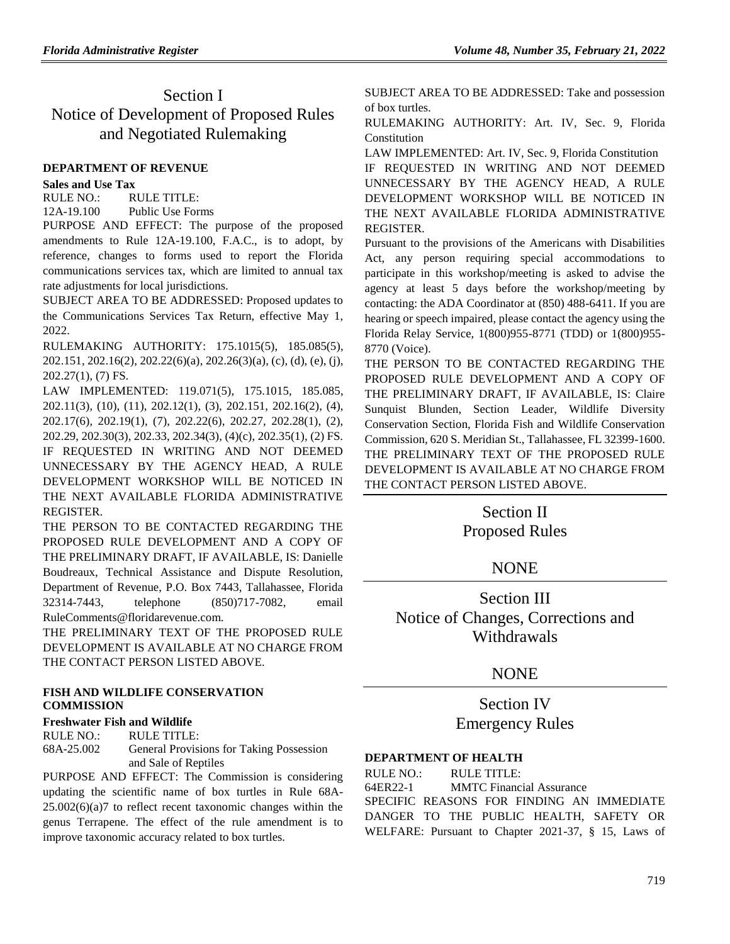## Section I Notice of Development of Proposed Rules and Negotiated Rulemaking

#### **[DEPARTMENT OF REVENUE](https://www.flrules.org/gateway/department.asp?id=12)**

#### **[Sales and Use Tax](https://www.flrules.org/gateway/organization.asp?id=33)**

RULE NO.: RULE TITLE:

[12A-19.100](https://www.flrules.org/gateway/ruleNo.asp?id=12A-19.100) Public Use Forms

PURPOSE AND EFFECT: The purpose of the proposed amendments to Rule 12A-19.100, F.A.C., is to adopt, by reference, changes to forms used to report the Florida communications services tax, which are limited to annual tax rate adjustments for local jurisdictions.

SUBJECT AREA TO BE ADDRESSED: Proposed updates to the Communications Services Tax Return, effective May 1, 2022.

RULEMAKING AUTHORITY: [175.1015\(5\),](https://www.flrules.org/gateway/statute.asp?id=175.1015(5)) [185.085\(5\),](https://www.flrules.org/gateway/statute.asp?id=%20185.085(5)) [202.151,](https://www.flrules.org/gateway/statute.asp?id=%20202.151) [202.16\(2\),](https://www.flrules.org/gateway/statute.asp?id=%20202.16(2)) [202.22\(6\)\(a\),](https://www.flrules.org/gateway/statute.asp?id=%20202.22(6)(a)) [202.26\(3\)\(a\),](https://www.flrules.org/gateway/statute.asp?id=%20202.26(3)(a)) (c), (d), (e), (j), [202.27\(1\),](https://www.flrules.org/gateway/statute.asp?id=%20202.27(1)) (7) FS.

LAW IMPLEMENTED: [119.071\(5\),](https://www.flrules.org/gateway/statute.asp?id=119.071(5)) [175.1015,](https://www.flrules.org/gateway/statute.asp?id=%20175.1015) [185.085,](https://www.flrules.org/gateway/statute.asp?id=%20185.085) [202.11\(3\),](https://www.flrules.org/gateway/statute.asp?id=%20202.11(3)) (10), (11), [202.12\(1\),](https://www.flrules.org/gateway/statute.asp?id=%20202.12(1)) (3), [202.151,](https://www.flrules.org/gateway/statute.asp?id=%20202.151) [202.16\(2\),](https://www.flrules.org/gateway/statute.asp?id=%20202.16(2)) (4), [202.17\(6\),](https://www.flrules.org/gateway/statute.asp?id=%20202.17(6)) [202.19\(1\),](https://www.flrules.org/gateway/statute.asp?id=%20202.19(1)) (7), [202.22\(6\),](https://www.flrules.org/gateway/statute.asp?id=%20202.22(6)) [202.27,](https://www.flrules.org/gateway/statute.asp?id=%20202.27) [202.28\(1\),](https://www.flrules.org/gateway/statute.asp?id=%20202.28(1)) (2), [202.29,](https://www.flrules.org/gateway/statute.asp?id=%20202.29) [202.30\(3\),](https://www.flrules.org/gateway/statute.asp?id=%20202.30(3)) [202.33,](https://www.flrules.org/gateway/statute.asp?id=%20202.33) [202.34\(3\),](https://www.flrules.org/gateway/statute.asp?id=%20202.34(3)) (4)(c)[, 202.35\(1\),](https://www.flrules.org/gateway/statute.asp?id=%20202.35(1)) (2) FS. IF REQUESTED IN WRITING AND NOT DEEMED UNNECESSARY BY THE AGENCY HEAD, A RULE DEVELOPMENT WORKSHOP WILL BE NOTICED IN THE NEXT AVAILABLE FLORIDA ADMINISTRATIVE REGISTER.

THE PERSON TO BE CONTACTED REGARDING THE PROPOSED RULE DEVELOPMENT AND A COPY OF THE PRELIMINARY DRAFT, IF AVAILABLE, IS: Danielle Boudreaux, Technical Assistance and Dispute Resolution, Department of Revenue, P.O. Box 7443, Tallahassee, Florida 32314-7443, telephone (850)717-7082, email RuleComments@floridarevenue.com.

THE PRELIMINARY TEXT OF THE PROPOSED RULE DEVELOPMENT IS AVAILABLE AT NO CHARGE FROM THE CONTACT PERSON LISTED ABOVE.

### **[FISH AND WILDLIFE CONSERVATION](https://www.flrules.org/gateway/department.asp?id=68)  [COMMISSION](https://www.flrules.org/gateway/department.asp?id=68)**

### **[Freshwater Fish and Wildlife](https://www.flrules.org/gateway/organization.asp?id=347)**

RULE NO.: RULE TITLE: [68A-25.002](https://www.flrules.org/gateway/ruleNo.asp?id=68A-25.002) General Provisions for Taking Possession and Sale of Reptiles

PURPOSE AND EFFECT: The Commission is considering updating the scientific name of box turtles in Rule 68A-25.002(6)(a)7 to reflect recent taxonomic changes within the genus Terrapene. The effect of the rule amendment is to improve taxonomic accuracy related to box turtles.

SUBJECT AREA TO BE ADDRESSED: Take and possession of box turtles.

RULEMAKING AUTHORITY: [Art. IV, Sec. 9, Florida](https://www.flrules.org/gateway/flconstitution.asp?id=Art.%20IV,%20Sec.%209,%20Florida%20Constitution)  [Constitution](https://www.flrules.org/gateway/flconstitution.asp?id=Art.%20IV,%20Sec.%209,%20Florida%20Constitution)

LAW IMPLEMENTED: [Art. IV, Sec. 9, Florida Constitution](https://www.flrules.org/gateway/flconstitution.asp?id=Art.%20IV,%20Sec.%209,%20Florida%20Constitution) IF REQUESTED IN WRITING AND NOT DEEMED UNNECESSARY BY THE AGENCY HEAD, A RULE DEVELOPMENT WORKSHOP WILL BE NOTICED IN THE NEXT AVAILABLE FLORIDA ADMINISTRATIVE REGISTER.

Pursuant to the provisions of the Americans with Disabilities Act, any person requiring special accommodations to participate in this workshop/meeting is asked to advise the agency at least 5 days before the workshop/meeting by contacting: the ADA Coordinator at (850) 488-6411. If you are hearing or speech impaired, please contact the agency using the Florida Relay Service, 1(800)955-8771 (TDD) or 1(800)955- 8770 (Voice).

THE PERSON TO BE CONTACTED REGARDING THE PROPOSED RULE DEVELOPMENT AND A COPY OF THE PRELIMINARY DRAFT, IF AVAILABLE, IS: Claire Sunquist Blunden, Section Leader, Wildlife Diversity Conservation Section, Florida Fish and Wildlife Conservation Commission, 620 S. Meridian St., Tallahassee, FL 32399-1600. THE PRELIMINARY TEXT OF THE PROPOSED RULE DEVELOPMENT IS AVAILABLE AT NO CHARGE FROM THE CONTACT PERSON LISTED ABOVE.

## Section II Proposed Rules

## **NONE**

Section III Notice of Changes, Corrections and Withdrawals

## NONE

## Section IV Emergency Rules

### **[DEPARTMENT OF HEALTH](https://www.flrules.org/gateway/department.asp?id=64)**

RULE NO.: RULE TITLE: [64ER22-1](https://www.flrules.org/gateway/ruleNo.asp?id=64ER22-1) MMTC Financial Assurance SPECIFIC REASONS FOR FINDING AN IMMEDIATE DANGER TO THE PUBLIC HEALTH, SAFETY OR WELFARE: Pursuant to Chapter 2021-37, § 15, Laws of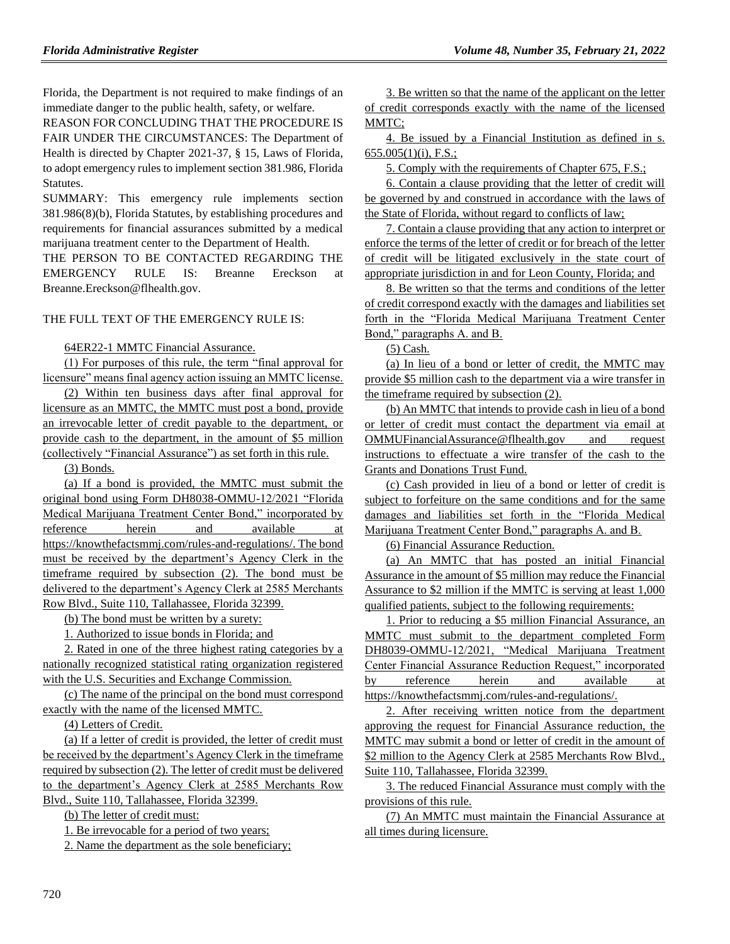Florida, the Department is not required to make findings of an immediate danger to the public health, safety, or welfare.

REASON FOR CONCLUDING THAT THE PROCEDURE IS FAIR UNDER THE CIRCUMSTANCES: The Department of Health is directed by Chapter 2021-37, § 15, Laws of Florida, to adopt emergency rules to implement section 381.986, Florida Statutes.

SUMMARY: This emergency rule implements section 381.986(8)(b), Florida Statutes, by establishing procedures and requirements for financial assurances submitted by a medical marijuana treatment center to the Department of Health.

THE PERSON TO BE CONTACTED REGARDING THE EMERGENCY RULE IS: Breanne Ereckson at Breanne.Ereckson@flhealth.gov.

### THE FULL TEXT OF THE EMERGENCY RULE IS:

64ER22-1 MMTC Financial Assurance.

(1) For purposes of this rule, the term "final approval for licensure" means final agency action issuing an MMTC license.

(2) Within ten business days after final approval for licensure as an MMTC, the MMTC must post a bond, provide an irrevocable letter of credit payable to the department, or provide cash to the department, in the amount of \$5 million (collectively "Financial Assurance") as set forth in this rule.

(3) Bonds.

(a) If a bond is provided, the MMTC must submit the original bond using Form DH8038-OMMU-12/2021 "Florida Medical Marijuana Treatment Center Bond," incorporated by reference herein and available at https://knowthefactsmmj.com/rules-and-regulations/. The bond must be received by the department's Agency Clerk in the timeframe required by subsection (2). The bond must be delivered to the department's Agency Clerk at 2585 Merchants Row Blvd., Suite 110, Tallahassee, Florida 32399.

(b) The bond must be written by a surety:

1. Authorized to issue bonds in Florida; and

2. Rated in one of the three highest rating categories by a nationally recognized statistical rating organization registered with the U.S. Securities and Exchange Commission.

(c) The name of the principal on the bond must correspond exactly with the name of the licensed MMTC.

(4) Letters of Credit.

(a) If a letter of credit is provided, the letter of credit must be received by the department's Agency Clerk in the timeframe required by subsection (2). The letter of credit must be delivered to the department's Agency Clerk at 2585 Merchants Row Blvd., Suite 110, Tallahassee, Florida 32399.

(b) The letter of credit must:

1. Be irrevocable for a period of two years;

2. Name the department as the sole beneficiary;

3. Be written so that the name of the applicant on the letter of credit corresponds exactly with the name of the licensed MMTC;

4. Be issued by a Financial Institution as defined in s. 655.005(1)(i), F.S.;

5. Comply with the requirements of Chapter 675, F.S.;

6. Contain a clause providing that the letter of credit will be governed by and construed in accordance with the laws of the State of Florida, without regard to conflicts of law;

7. Contain a clause providing that any action to interpret or enforce the terms of the letter of credit or for breach of the letter of credit will be litigated exclusively in the state court of appropriate jurisdiction in and for Leon County, Florida; and

8. Be written so that the terms and conditions of the letter of credit correspond exactly with the damages and liabilities set forth in the "Florida Medical Marijuana Treatment Center Bond," paragraphs A. and B.

(5) Cash.

(a) In lieu of a bond or letter of credit, the MMTC may provide \$5 million cash to the department via a wire transfer in the timeframe required by subsection (2).

(b) An MMTC that intends to provide cash in lieu of a bond or letter of credit must contact the department via email at OMMUFinancialAssurance@flhealth.gov and request instructions to effectuate a wire transfer of the cash to the Grants and Donations Trust Fund.

(c) Cash provided in lieu of a bond or letter of credit is subject to forfeiture on the same conditions and for the same damages and liabilities set forth in the "Florida Medical Marijuana Treatment Center Bond," paragraphs A. and B.

(6) Financial Assurance Reduction.

(a) An MMTC that has posted an initial Financial Assurance in the amount of \$5 million may reduce the Financial Assurance to \$2 million if the MMTC is serving at least 1,000 qualified patients, subject to the following requirements:

1. Prior to reducing a \$5 million Financial Assurance, an MMTC must submit to the department completed Form DH8039-OMMU-12/2021, "Medical Marijuana Treatment Center Financial Assurance Reduction Request," incorporated by reference herein and available at https://knowthefactsmmj.com/rules-and-regulations/.

2. After receiving written notice from the department approving the request for Financial Assurance reduction, the MMTC may submit a bond or letter of credit in the amount of \$2 million to the Agency Clerk at 2585 Merchants Row Blvd., Suite 110, Tallahassee, Florida 32399.

3. The reduced Financial Assurance must comply with the provisions of this rule.

(7) An MMTC must maintain the Financial Assurance at all times during licensure.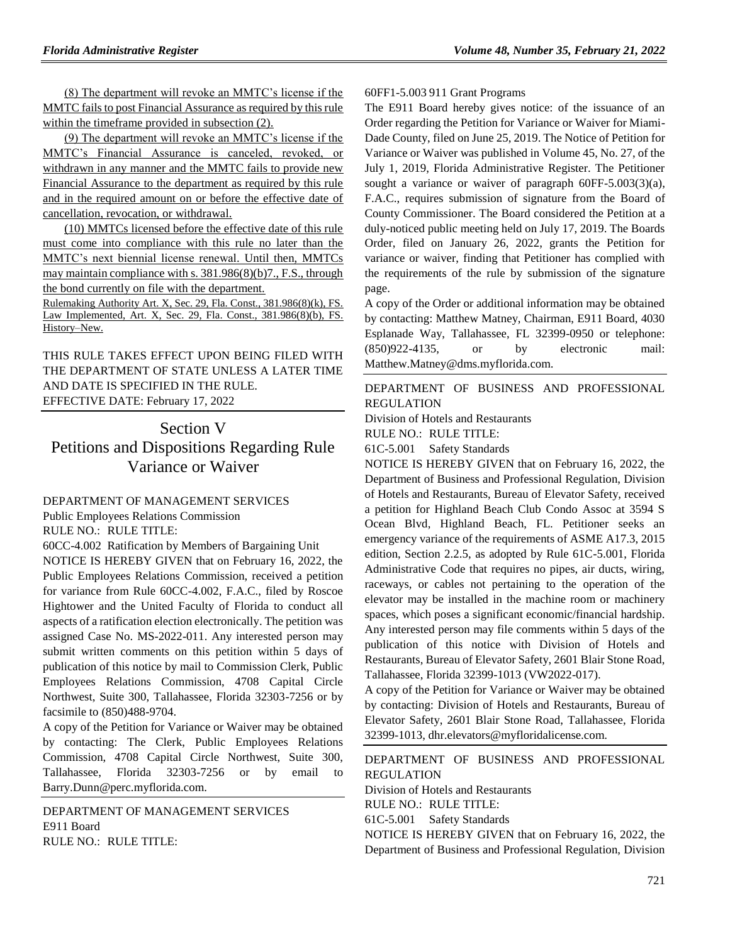(8) The department will revoke an MMTC's license if the MMTC fails to post Financial Assurance as required by this rule within the timeframe provided in subsection (2).

(9) The department will revoke an MMTC's license if the MMTC's Financial Assurance is canceled, revoked, or withdrawn in any manner and the MMTC fails to provide new Financial Assurance to the department as required by this rule and in the required amount on or before the effective date of cancellation, revocation, or withdrawal.

(10) MMTCs licensed before the effective date of this rule must come into compliance with this rule no later than the MMTC's next biennial license renewal. Until then, MMTCs may maintain compliance with s. 381.986(8)(b)7., F.S., through the bond currently on file with the department.

Rulemaking Authority Art. X, Sec. 29, Fla. Const., 381.986(8)(k), FS. Law Implemented, Art. X, Sec. 29, Fla. Const., 381.986(8)(b), FS. History–New.

THIS RULE TAKES EFFECT UPON BEING FILED WITH THE DEPARTMENT OF STATE UNLESS A LATER TIME AND DATE IS SPECIFIED IN THE RULE. EFFECTIVE DATE: February 17, 2022

# Section V Petitions and Dispositions Regarding Rule Variance or Waiver

### [DEPARTMENT OF MANAGEMENT SERVICES](https://www.flrules.org/gateway/department.asp?id=60)

[Public Employees Relations Commission](https://www.flrules.org/gateway/organization.asp?id=502)

RULE NO.: RULE TITLE:

[60CC-4.002](https://www.flrules.org/gateway/ruleNo.asp?id=60CC-4.002) Ratification by Members of Bargaining Unit

NOTICE IS HEREBY GIVEN that on February 16, 2022, the Public Employees Relations Commission, received a petition for variance from Rule 60CC-4.002, F.A.C., filed by Roscoe Hightower and the United Faculty of Florida to conduct all aspects of a ratification election electronically. The petition was assigned Case No. MS-2022-011. Any interested person may submit written comments on this petition within 5 days of publication of this notice by mail to Commission Clerk, Public Employees Relations Commission, 4708 Capital Circle Northwest, Suite 300, Tallahassee, Florida 32303-7256 or by facsimile to (850)488-9704.

A copy of the Petition for Variance or Waiver may be obtained by contacting: The Clerk, Public Employees Relations Commission, 4708 Capital Circle Northwest, Suite 300, Tallahassee, Florida 32303-7256 or by email to Barry.Dunn@perc.myflorida.com.

[DEPARTMENT OF MANAGEMENT SERVICES](https://www.flrules.org/gateway/department.asp?id=60) [E911 Board](https://www.flrules.org/gateway/organization.asp?id=958) RULE NO.: RULE TITLE:

#### [60FF1-5.003](https://www.flrules.org/gateway/ruleNo.asp?id=60FF1-5.003) 911 Grant Programs

The E911 Board hereby gives notice: of the issuance of an Order regarding the Petition for Variance or Waiver for Miami-Dade County, filed on June 25, 2019. The Notice of Petition for Variance or Waiver was published in Volume 45, No. 27, of the July 1, 2019, Florida Administrative Register. The Petitioner sought a variance or waiver of paragraph 60FF-5.003(3)(a), F.A.C., requires submission of signature from the Board of County Commissioner. The Board considered the Petition at a duly-noticed public meeting held on July 17, 2019. The Boards Order, filed on January 26, 2022, grants the Petition for variance or waiver, finding that Petitioner has complied with the requirements of the rule by submission of the signature page.

A copy of the Order or additional information may be obtained by contacting: Matthew Matney, Chairman, E911 Board, 4030 Esplanade Way, Tallahassee, FL 32399-0950 or telephone: (850)922-4135, or by electronic mail: Matthew.Matney@dms.myflorida.com.

[DEPARTMENT OF BUSINESS AND PROFESSIONAL](https://www.flrules.org/gateway/department.asp?id=61)  [REGULATION](https://www.flrules.org/gateway/department.asp?id=61)

[Division of Hotels and Restaurants](https://www.flrules.org/gateway/organization.asp?id=249)

RULE NO.: RULE TITLE:

[61C-5.001](https://www.flrules.org/gateway/ruleNo.asp?id=61C-5.001) Safety Standards

NOTICE IS HEREBY GIVEN that on February 16, 2022, the Department of Business and Professional Regulation, Division of Hotels and Restaurants, Bureau of Elevator Safety, received a petition for Highland Beach Club Condo Assoc at 3594 S Ocean Blvd, Highland Beach, FL. Petitioner seeks an emergency variance of the requirements of ASME A17.3, 2015 edition, Section 2.2.5, as adopted by Rule 61C-5.001, Florida Administrative Code that requires no pipes, air ducts, wiring, raceways, or cables not pertaining to the operation of the elevator may be installed in the machine room or machinery spaces, which poses a significant economic/financial hardship. Any interested person may file comments within 5 days of the publication of this notice with Division of Hotels and Restaurants, Bureau of Elevator Safety, 2601 Blair Stone Road, Tallahassee, Florida 32399-1013 (VW2022-017).

A copy of the Petition for Variance or Waiver may be obtained by contacting: Division of Hotels and Restaurants, Bureau of Elevator Safety, 2601 Blair Stone Road, Tallahassee, Florida 32399-1013, dhr.elevators@myfloridalicense.com.

[DEPARTMENT OF BUSINESS AND PROFESSIONAL](https://www.flrules.org/gateway/department.asp?id=61)  [REGULATION](https://www.flrules.org/gateway/department.asp?id=61)

[Division of Hotels and Restaurants](https://www.flrules.org/gateway/organization.asp?id=249)

RULE NO.: RULE TITLE:

[61C-5.001](https://www.flrules.org/gateway/ruleNo.asp?id=61C-5.001) Safety Standards

NOTICE IS HEREBY GIVEN that on February 16, 2022, the Department of Business and Professional Regulation, Division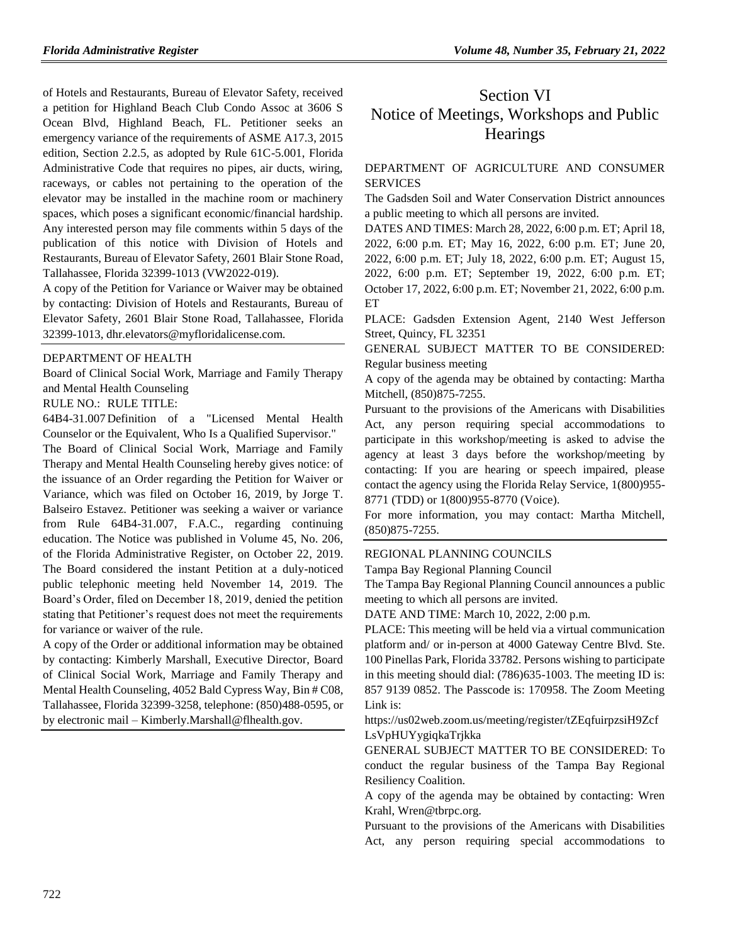of Hotels and Restaurants, Bureau of Elevator Safety, received a petition for Highland Beach Club Condo Assoc at 3606 S Ocean Blvd, Highland Beach, FL. Petitioner seeks an emergency variance of the requirements of ASME A17.3, 2015 edition, Section 2.2.5, as adopted by Rule 61C-5.001, Florida Administrative Code that requires no pipes, air ducts, wiring, raceways, or cables not pertaining to the operation of the elevator may be installed in the machine room or machinery spaces, which poses a significant economic/financial hardship. Any interested person may file comments within 5 days of the publication of this notice with Division of Hotels and Restaurants, Bureau of Elevator Safety, 2601 Blair Stone Road, Tallahassee, Florida 32399-1013 (VW2022-019).

A copy of the Petition for Variance or Waiver may be obtained by contacting: Division of Hotels and Restaurants, Bureau of Elevator Safety, 2601 Blair Stone Road, Tallahassee, Florida 32399-1013, dhr.elevators@myfloridalicense.com.

#### [DEPARTMENT OF HEALTH](https://www.flrules.org/gateway/department.asp?id=64)

[Board of Clinical Social Work, Marriage and Family Therapy](https://www.flrules.org/gateway/organization.asp?id=327)  [and Mental Health Counseling](https://www.flrules.org/gateway/organization.asp?id=327)

### RULE NO.: RULE TITLE:

[64B4-31.007](https://www.flrules.org/gateway/ruleNo.asp?id=64B4-31.007) Definition of a "Licensed Mental Health Counselor or the Equivalent, Who Is a Qualified Supervisor."

The Board of Clinical Social Work, Marriage and Family Therapy and Mental Health Counseling hereby gives notice: of the issuance of an Order regarding the Petition for Waiver or Variance, which was filed on October 16, 2019, by Jorge T. Balseiro Estavez. Petitioner was seeking a waiver or variance from Rule 64B4-31.007, F.A.C., regarding continuing education. The Notice was published in Volume 45, No. 206, of the Florida Administrative Register, on October 22, 2019. The Board considered the instant Petition at a duly-noticed public telephonic meeting held November 14, 2019. The Board's Order, filed on December 18, 2019, denied the petition stating that Petitioner's request does not meet the requirements for variance or waiver of the rule.

A copy of the Order or additional information may be obtained by contacting: Kimberly Marshall, Executive Director, Board of Clinical Social Work, Marriage and Family Therapy and Mental Health Counseling, 4052 Bald Cypress Way, Bin # C08, Tallahassee, Florida 32399-3258, telephone: (850)488-0595, or by electronic mail – Kimberly.Marshall@flhealth.gov.

# Section VI Notice of Meetings, Workshops and Public **Hearings**

## [DEPARTMENT OF AGRICULTURE AND CONSUMER](https://www.flrules.org/gateway/department.asp?id=5)  **[SERVICES](https://www.flrules.org/gateway/department.asp?id=5)**

The Gadsden Soil and Water Conservation District announces a public meeting to which all persons are invited.

DATES AND TIMES: March 28, 2022, 6:00 p.m. ET; April 18, 2022, 6:00 p.m. ET; May 16, 2022, 6:00 p.m. ET; June 20, 2022, 6:00 p.m. ET; July 18, 2022, 6:00 p.m. ET; August 15, 2022, 6:00 p.m. ET; September 19, 2022, 6:00 p.m. ET; October 17, 2022, 6:00 p.m. ET; November 21, 2022, 6:00 p.m. ET

PLACE: Gadsden Extension Agent, 2140 West Jefferson Street, Quincy, FL 32351

GENERAL SUBJECT MATTER TO BE CONSIDERED: Regular business meeting

A copy of the agenda may be obtained by contacting: Martha Mitchell, (850)875-7255.

Pursuant to the provisions of the Americans with Disabilities Act, any person requiring special accommodations to participate in this workshop/meeting is asked to advise the agency at least 3 days before the workshop/meeting by contacting: If you are hearing or speech impaired, please contact the agency using the Florida Relay Service, 1(800)955- 8771 (TDD) or 1(800)955-8770 (Voice).

For more information, you may contact: Martha Mitchell, (850)875-7255.

#### [REGIONAL PLANNING COUNCILS](https://www.flrules.org/gateway/department.asp?id=29)

[Tampa Bay Regional Planning Council](https://www.flrules.org/gateway/organization.asp?id=64)

The Tampa Bay Regional Planning Council announces a public meeting to which all persons are invited.

DATE AND TIME: March 10, 2022, 2:00 p.m.

PLACE: This meeting will be held via a virtual communication platform and/ or in-person at 4000 Gateway Centre Blvd. Ste. 100 Pinellas Park, Florida 33782. Persons wishing to participate in this meeting should dial: (786)635-1003. The meeting ID is: 857 9139 0852. The Passcode is: 170958. The Zoom Meeting Link is:

https://us02web.zoom.us/meeting/register/tZEqfuirpzsiH9Zcf LsVpHUYygiqkaTrjkka

GENERAL SUBJECT MATTER TO BE CONSIDERED: To conduct the regular business of the Tampa Bay Regional Resiliency Coalition.

A copy of the agenda may be obtained by contacting: Wren Krahl, Wren@tbrpc.org.

Pursuant to the provisions of the Americans with Disabilities Act, any person requiring special accommodations to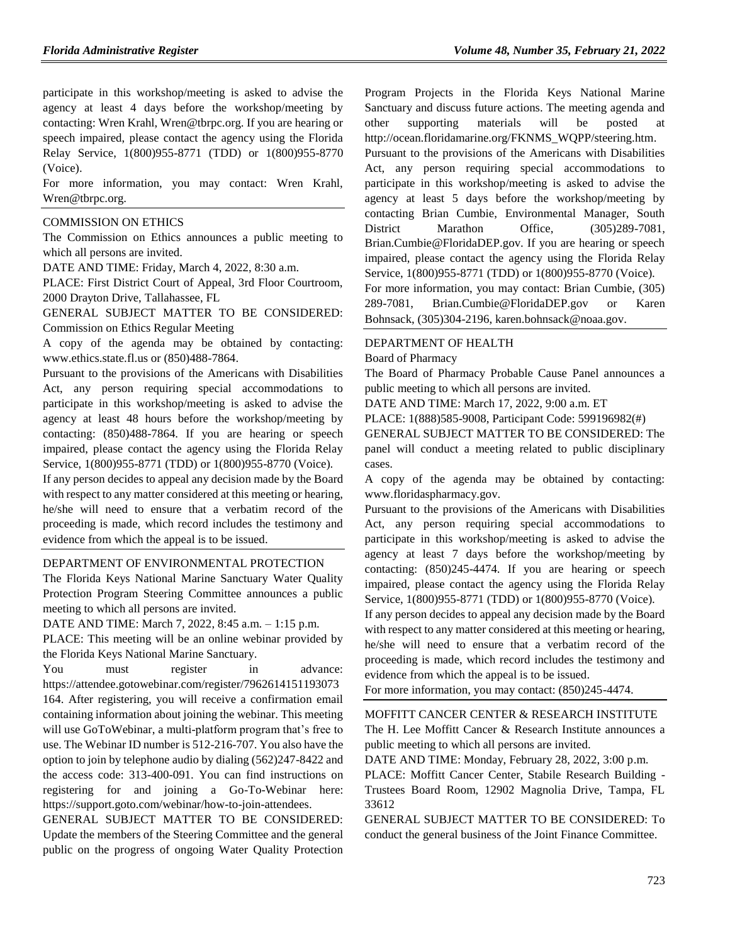participate in this workshop/meeting is asked to advise the agency at least 4 days before the workshop/meeting by contacting: Wren Krahl, Wren@tbrpc.org. If you are hearing or speech impaired, please contact the agency using the Florida Relay Service, 1(800)955-8771 (TDD) or 1(800)955-8770 (Voice).

For more information, you may contact: Wren Krahl, Wren@tbrpc.org.

#### [COMMISSION ON ETHICS](https://www.flrules.org/gateway/department.asp?id=34)

The Commission on Ethics announces a public meeting to which all persons are invited.

DATE AND TIME: Friday, March 4, 2022, 8:30 a.m.

PLACE: First District Court of Appeal, 3rd Floor Courtroom, 2000 Drayton Drive, Tallahassee, FL

GENERAL SUBJECT MATTER TO BE CONSIDERED: Commission on Ethics Regular Meeting

A copy of the agenda may be obtained by contacting: www.ethics.state.fl.us or (850)488-7864.

Pursuant to the provisions of the Americans with Disabilities Act, any person requiring special accommodations to participate in this workshop/meeting is asked to advise the agency at least 48 hours before the workshop/meeting by contacting: (850)488-7864. If you are hearing or speech impaired, please contact the agency using the Florida Relay Service, 1(800)955-8771 (TDD) or 1(800)955-8770 (Voice).

If any person decides to appeal any decision made by the Board with respect to any matter considered at this meeting or hearing. he/she will need to ensure that a verbatim record of the proceeding is made, which record includes the testimony and evidence from which the appeal is to be issued.

#### [DEPARTMENT OF ENVIRONMENTAL PROTECTION](https://www.flrules.org/gateway/department.asp?id=62)

The Florida Keys National Marine Sanctuary Water Quality Protection Program Steering Committee announces a public meeting to which all persons are invited.

DATE AND TIME: March 7, 2022, 8:45 a.m. – 1:15 p.m.

PLACE: This meeting will be an online webinar provided by the Florida Keys National Marine Sanctuary.

You must register in advance: [https://attendee.gotowebinar.com/register/7962614151193073](https://attendee.gotowebinar.com/register/7962614151193073164) [164.](https://attendee.gotowebinar.com/register/7962614151193073164) After registering, you will receive a confirmation email containing information about joining the webinar. This meeting will use [GoToWebinar,](https://www.gotomeeting.com/webinar/join-webinar) a multi-platform program that's free to use. The Webinar ID number is 512-216-707. You also have the option to join by telephone audio by dialing (562)247-8422 and the access code: 313-400-091. You can find instructions on registering for and joining a Go-To-Webinar here: [https://support.goto.com/webinar/how-to-join-attendees.](https://support.goto.com/webinar/how-to-join-attendees)

GENERAL SUBJECT MATTER TO BE CONSIDERED: Update the members of the Steering Committee and the general public on the progress of ongoing Water Quality Protection Program Projects in the Florida Keys National Marine Sanctuary and discuss future actions. The meeting agenda and other supporting materials will be posted at [http://ocean.floridamarine.org/FKNMS\\_WQPP/steering.htm.](http://ocean.floridamarine.org/FKNMS_WQPP/steering.htm)

Pursuant to the provisions of the Americans with Disabilities Act, any person requiring special accommodations to participate in this workshop/meeting is asked to advise the agency at least 5 days before the workshop/meeting by contacting Brian Cumbie, Environmental Manager, South District Marathon Office,  $(305)289-7081$ , Brian.Cumbie@FloridaDEP.gov. If you are hearing or speech impaired, please contact the agency using the Florida Relay Service, 1(800)955-8771 (TDD) or 1(800)955-8770 (Voice). For more information, you may contact: Brian Cumbie, (305) 289-7081, [Brian.Cumbie@FloridaDEP.gov](mailto:Brian.Cumbie@FloridaDEP.gov) or Karen

Bohnsack, (305)304-2196[, karen.bohnsack@noaa.gov.](mailto:karen.bohnsack@noaa.gov)

#### [DEPARTMENT OF HEALTH](https://www.flrules.org/gateway/department.asp?id=64)

[Board of Pharmacy](https://www.flrules.org/gateway/organization.asp?id=307)

The Board of Pharmacy Probable Cause Panel announces a public meeting to which all persons are invited.

DATE AND TIME: March 17, 2022, 9:00 a.m. ET

PLACE: 1(888)585-9008, Participant Code: 599196982(#)

GENERAL SUBJECT MATTER TO BE CONSIDERED: The panel will conduct a meeting related to public disciplinary cases.

A copy of the agenda may be obtained by contacting: www.floridaspharmacy.gov.

Pursuant to the provisions of the Americans with Disabilities Act, any person requiring special accommodations to participate in this workshop/meeting is asked to advise the agency at least 7 days before the workshop/meeting by contacting: (850)245-4474. If you are hearing or speech impaired, please contact the agency using the Florida Relay Service, 1(800)955-8771 (TDD) or 1(800)955-8770 (Voice).

If any person decides to appeal any decision made by the Board with respect to any matter considered at this meeting or hearing, he/she will need to ensure that a verbatim record of the proceeding is made, which record includes the testimony and evidence from which the appeal is to be issued.

For more information, you may contact: (850)245-4474.

#### [MOFFITT CANCER CENTER & RESEARCH INSTITUTE](https://www.flrules.org/gateway/organization.asp?id=579)

The H. Lee Moffitt Cancer & Research Institute announces a public meeting to which all persons are invited.

DATE AND TIME: Monday, February 28, 2022, 3:00 p.m.

PLACE: Moffitt Cancer Center, Stabile Research Building - Trustees Board Room, 12902 Magnolia Drive, Tampa, FL 33612

GENERAL SUBJECT MATTER TO BE CONSIDERED: To conduct the general business of the Joint Finance Committee.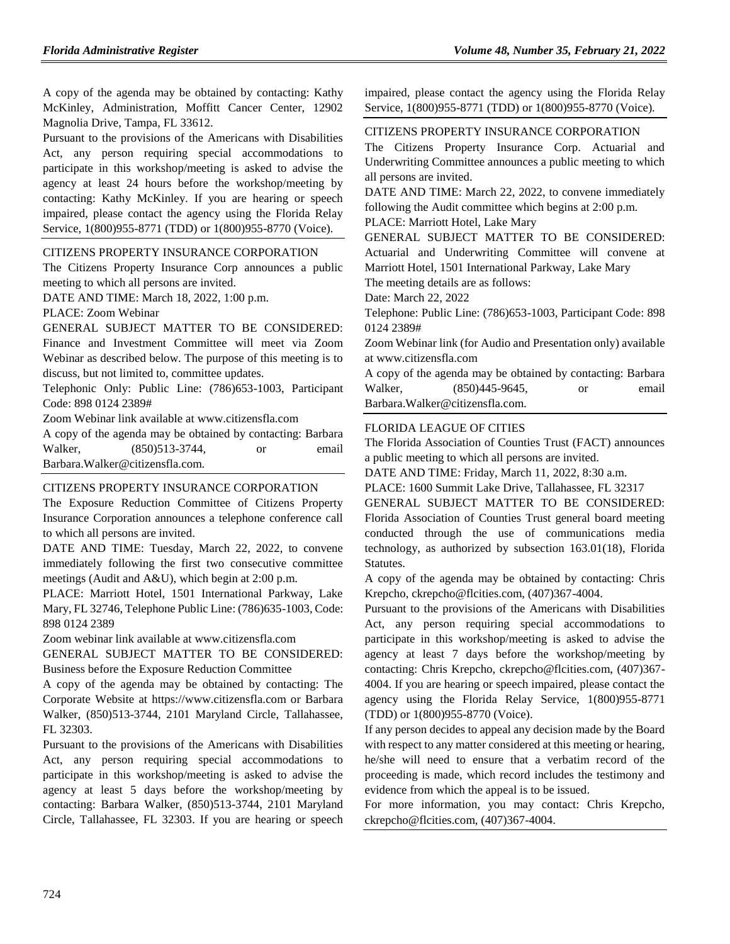A copy of the agenda may be obtained by contacting: Kathy McKinley, Administration, Moffitt Cancer Center, 12902 Magnolia Drive, Tampa, FL 33612.

Pursuant to the provisions of the Americans with Disabilities Act, any person requiring special accommodations to participate in this workshop/meeting is asked to advise the agency at least 24 hours before the workshop/meeting by contacting: Kathy McKinley. If you are hearing or speech impaired, please contact the agency using the Florida Relay Service, 1(800)955-8771 (TDD) or 1(800)955-8770 (Voice).

#### [CITIZENS PROPERTY INSURANCE CORPORATION](https://www.flrules.org/gateway/organization.asp?id=591)

The Citizens Property Insurance Corp announces a public meeting to which all persons are invited.

DATE AND TIME: March 18, 2022, 1:00 p.m.

PLACE: Zoom Webinar

## GENERAL SUBJECT MATTER TO BE CONSIDERED:

Finance and Investment Committee will meet via Zoom Webinar as described below. The purpose of this meeting is to discuss, but not limited to, committee updates.

Telephonic Only: Public Line: (786)653-1003, Participant Code: 898 0124 2389#

Zoom Webinar link available at www.citizensfla.com

A copy of the agenda may be obtained by contacting: Barbara Walker, (850)513-3744, or email Barbara.Walker@citizensfla.com.

### [CITIZENS PROPERTY INSURANCE CORPORATION](https://www.flrules.org/gateway/organization.asp?id=591)

The Exposure Reduction Committee of Citizens Property Insurance Corporation announces a telephone conference call to which all persons are invited.

DATE AND TIME: Tuesday, March 22, 2022, to convene immediately following the first two consecutive committee meetings (Audit and A&U), which begin at 2:00 p.m.

PLACE: Marriott Hotel, 1501 International Parkway, Lake Mary, FL 32746, Telephone Public Line: (786)635-1003, Code: 898 0124 2389

Zoom webinar link available at www.citizensfla.com

GENERAL SUBJECT MATTER TO BE CONSIDERED: Business before the Exposure Reduction Committee

A copy of the agenda may be obtained by contacting: The Corporate Website at https://www.citizensfla.com or Barbara Walker, (850)513-3744, 2101 Maryland Circle, Tallahassee, FL 32303.

Pursuant to the provisions of the Americans with Disabilities Act, any person requiring special accommodations to participate in this workshop/meeting is asked to advise the agency at least 5 days before the workshop/meeting by contacting: Barbara Walker, (850)513-3744, 2101 Maryland Circle, Tallahassee, FL 32303. If you are hearing or speech impaired, please contact the agency using the Florida Relay Service, 1(800)955-8771 (TDD) or 1(800)955-8770 (Voice).

## [CITIZENS PROPERTY INSURANCE CORPORATION](https://www.flrules.org/gateway/organization.asp?id=591)

The Citizens Property Insurance Corp. Actuarial and Underwriting Committee announces a public meeting to which all persons are invited.

DATE AND TIME: March 22, 2022, to convene immediately following the Audit committee which begins at 2:00 p.m.

PLACE: Marriott Hotel, Lake Mary

GENERAL SUBJECT MATTER TO BE CONSIDERED: Actuarial and Underwriting Committee will convene at Marriott Hotel, 1501 International Parkway, Lake Mary

The meeting details are as follows:

Date: March 22, 2022

Telephone: Public Line: (786)653-1003, Participant Code: 898 0124 2389#

Zoom Webinar link (for Audio and Presentation only) available at www.citizensfla.com

A copy of the agenda may be obtained by contacting: Barbara Walker, (850)445-9645, or email Barbara.Walker@citizensfla.com.

### [FLORIDA LEAGUE OF CITIES](https://www.flrules.org/gateway/organization.asp?id=670)

The Florida Association of Counties Trust (FACT) announces a public meeting to which all persons are invited.

DATE AND TIME: Friday, March 11, 2022, 8:30 a.m.

PLACE: 1600 Summit Lake Drive, Tallahassee, FL 32317

GENERAL SUBJECT MATTER TO BE CONSIDERED: Florida Association of Counties Trust general board meeting conducted through the use of communications media technology, as authorized by subsection 163.01(18), Florida Statutes.

A copy of the agenda may be obtained by contacting: Chris Krepcho, ckrepcho@flcities.com, (407)367-4004.

Pursuant to the provisions of the Americans with Disabilities Act, any person requiring special accommodations to participate in this workshop/meeting is asked to advise the agency at least 7 days before the workshop/meeting by contacting: Chris Krepcho, ckrepcho@flcities.com, (407)367- 4004. If you are hearing or speech impaired, please contact the agency using the Florida Relay Service, 1(800)955-8771 (TDD) or 1(800)955-8770 (Voice).

If any person decides to appeal any decision made by the Board with respect to any matter considered at this meeting or hearing, he/she will need to ensure that a verbatim record of the proceeding is made, which record includes the testimony and evidence from which the appeal is to be issued.

For more information, you may contact: Chris Krepcho, ckrepcho@flcities.com, (407)367-4004.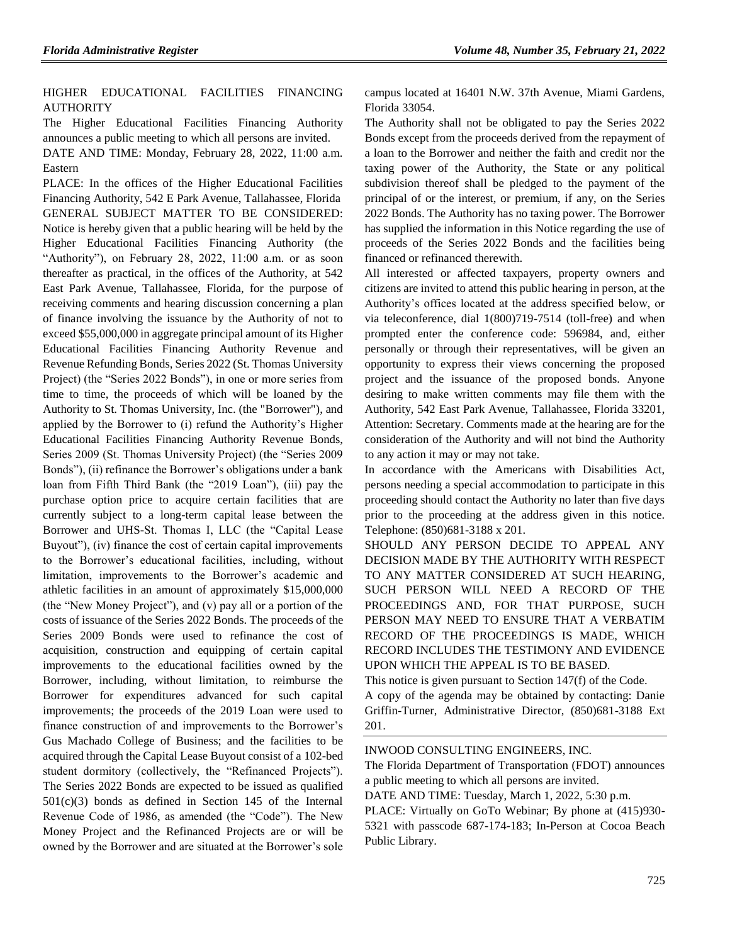## [HIGHER EDUCATIONAL FACILITIES FINANCING](https://www.flrules.org/gateway/organization.asp?id=1432)  [AUTHORITY](https://www.flrules.org/gateway/organization.asp?id=1432)

The Higher Educational Facilities Financing Authority announces a public meeting to which all persons are invited. DATE AND TIME: Monday, February 28, 2022, 11:00 a.m.

Eastern

PLACE: In the offices of the Higher Educational Facilities Financing Authority, 542 E Park Avenue, Tallahassee, Florida GENERAL SUBJECT MATTER TO BE CONSIDERED: Notice is hereby given that a public hearing will be held by the Higher Educational Facilities Financing Authority (the "Authority"), on February 28, 2022, 11:00 a.m. or as soon thereafter as practical, in the offices of the Authority, at 542 East Park Avenue, Tallahassee, Florida, for the purpose of receiving comments and hearing discussion concerning a plan of finance involving the issuance by the Authority of not to exceed \$55,000,000 in aggregate principal amount of its Higher Educational Facilities Financing Authority Revenue and Revenue Refunding Bonds, Series 2022 (St. Thomas University Project) (the "Series 2022 Bonds"), in one or more series from time to time, the proceeds of which will be loaned by the Authority to St. Thomas University, Inc. (the "Borrower"), and applied by the Borrower to (i) refund the Authority's Higher Educational Facilities Financing Authority Revenue Bonds, Series 2009 (St. Thomas University Project) (the "Series 2009 Bonds"), (ii) refinance the Borrower's obligations under a bank loan from Fifth Third Bank (the "2019 Loan"), (iii) pay the purchase option price to acquire certain facilities that are currently subject to a long-term capital lease between the Borrower and UHS-St. Thomas I, LLC (the "Capital Lease Buyout"), (iv) finance the cost of certain capital improvements to the Borrower's educational facilities, including, without limitation, improvements to the Borrower's academic and athletic facilities in an amount of approximately \$15,000,000 (the "New Money Project"), and (v) pay all or a portion of the costs of issuance of the Series 2022 Bonds. The proceeds of the Series 2009 Bonds were used to refinance the cost of acquisition, construction and equipping of certain capital improvements to the educational facilities owned by the Borrower, including, without limitation, to reimburse the Borrower for expenditures advanced for such capital improvements; the proceeds of the 2019 Loan were used to finance construction of and improvements to the Borrower's Gus Machado College of Business; and the facilities to be acquired through the Capital Lease Buyout consist of a 102-bed student dormitory (collectively, the "Refinanced Projects"). The Series 2022 Bonds are expected to be issued as qualified 501(c)(3) bonds as defined in Section 145 of the Internal Revenue Code of 1986, as amended (the "Code"). The New Money Project and the Refinanced Projects are or will be owned by the Borrower and are situated at the Borrower's sole campus located at 16401 N.W. 37th Avenue, Miami Gardens, Florida 33054.

The Authority shall not be obligated to pay the Series 2022 Bonds except from the proceeds derived from the repayment of a loan to the Borrower and neither the faith and credit nor the taxing power of the Authority, the State or any political subdivision thereof shall be pledged to the payment of the principal of or the interest, or premium, if any, on the Series 2022 Bonds. The Authority has no taxing power. The Borrower has supplied the information in this Notice regarding the use of proceeds of the Series 2022 Bonds and the facilities being financed or refinanced therewith.

All interested or affected taxpayers, property owners and citizens are invited to attend this public hearing in person, at the Authority's offices located at the address specified below, or via teleconference, dial 1(800)719-7514 (toll-free) and when prompted enter the conference code: 596984, and, either personally or through their representatives, will be given an opportunity to express their views concerning the proposed project and the issuance of the proposed bonds. Anyone desiring to make written comments may file them with the Authority, 542 East Park Avenue, Tallahassee, Florida 33201, Attention: Secretary. Comments made at the hearing are for the consideration of the Authority and will not bind the Authority to any action it may or may not take.

In accordance with the Americans with Disabilities Act, persons needing a special accommodation to participate in this proceeding should contact the Authority no later than five days prior to the proceeding at the address given in this notice. Telephone: (850)681-3188 x 201.

SHOULD ANY PERSON DECIDE TO APPEAL ANY DECISION MADE BY THE AUTHORITY WITH RESPECT TO ANY MATTER CONSIDERED AT SUCH HEARING, SUCH PERSON WILL NEED A RECORD OF THE PROCEEDINGS AND, FOR THAT PURPOSE, SUCH PERSON MAY NEED TO ENSURE THAT A VERBATIM RECORD OF THE PROCEEDINGS IS MADE, WHICH RECORD INCLUDES THE TESTIMONY AND EVIDENCE UPON WHICH THE APPEAL IS TO BE BASED.

This notice is given pursuant to Section 147(f) of the Code. A copy of the agenda may be obtained by contacting: Danie Griffin-Turner, Administrative Director, (850)681-3188 Ext 201.

[INWOOD CONSULTING ENGINEERS, INC.](https://www.flrules.org/gateway/organization.asp?id=992)

The Florida Department of Transportation (FDOT) announces a public meeting to which all persons are invited.

DATE AND TIME: Tuesday, March 1, 2022, 5:30 p.m.

PLACE: Virtually on GoTo Webinar; By phone at (415)930- 5321 with passcode 687-174-183; In-Person at Cocoa Beach Public Library.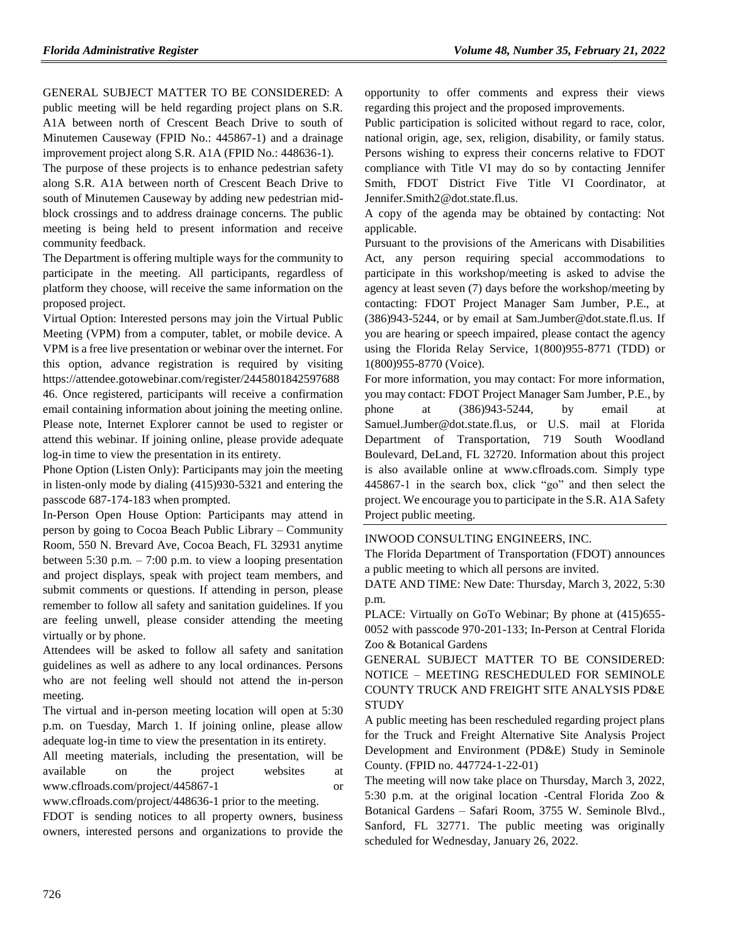GENERAL SUBJECT MATTER TO BE CONSIDERED: A public meeting will be held regarding project plans on S.R. A1A between north of Crescent Beach Drive to south of Minutemen Causeway (FPID No.: 445867-1) and a drainage improvement project along S.R. A1A (FPID No.: 448636-1).

The purpose of these projects is to enhance pedestrian safety along S.R. A1A between north of Crescent Beach Drive to south of Minutemen Causeway by adding new pedestrian midblock crossings and to address drainage concerns. The public meeting is being held to present information and receive community feedback.

The Department is offering multiple ways for the community to participate in the meeting. All participants, regardless of platform they choose, will receive the same information on the proposed project.

Virtual Option: Interested persons may join the Virtual Public Meeting (VPM) from a computer, tablet, or mobile device. A VPM is a free live presentation or webinar over the internet. For this option, advance registration is required by visiting https://attendee.gotowebinar.com/register/2445801842597688 46. Once registered, participants will receive a confirmation email containing information about joining the meeting online. Please note, Internet Explorer cannot be used to register or attend this webinar. If joining online, please provide adequate log-in time to view the presentation in its entirety.

Phone Option (Listen Only): Participants may join the meeting in listen-only mode by dialing (415)930-5321 and entering the passcode 687-174-183 when prompted.

In-Person Open House Option: Participants may attend in person by going to Cocoa Beach Public Library – Community Room, 550 N. Brevard Ave, Cocoa Beach, FL 32931 anytime between 5:30 p.m.  $-7:00$  p.m. to view a looping presentation and project displays, speak with project team members, and submit comments or questions. If attending in person, please remember to follow all safety and sanitation guidelines. If you are feeling unwell, please consider attending the meeting virtually or by phone.

Attendees will be asked to follow all safety and sanitation guidelines as well as adhere to any local ordinances. Persons who are not feeling well should not attend the in-person meeting.

The virtual and in-person meeting location will open at 5:30 p.m. on Tuesday, March 1. If joining online, please allow adequate log-in time to view the presentation in its entirety.

All meeting materials, including the presentation, will be available on the project websites at www.cflroads.com/project/445867-1 or

www.cflroads.com/project/448636-1 prior to the meeting. FDOT is sending notices to all property owners, business

owners, interested persons and organizations to provide the

opportunity to offer comments and express their views regarding this project and the proposed improvements.

Public participation is solicited without regard to race, color, national origin, age, sex, religion, disability, or family status. Persons wishing to express their concerns relative to FDOT compliance with Title VI may do so by contacting Jennifer Smith, FDOT District Five Title VI Coordinator, at Jennifer.Smith2@dot.state.fl.us.

A copy of the agenda may be obtained by contacting: Not applicable.

Pursuant to the provisions of the Americans with Disabilities Act, any person requiring special accommodations to participate in this workshop/meeting is asked to advise the agency at least seven (7) days before the workshop/meeting by contacting: FDOT Project Manager Sam Jumber, P.E., at (386)943-5244, or by email at Sam.Jumber@dot.state.fl.us. If you are hearing or speech impaired, please contact the agency using the Florida Relay Service, 1(800)955-8771 (TDD) or 1(800)955-8770 (Voice).

For more information, you may contact: For more information, you may contact: FDOT Project Manager Sam Jumber, P.E., by phone at (386)943-5244, by email at Samuel.Jumber@dot.state.fl.us, or U.S. mail at Florida Department of Transportation, 719 South Woodland Boulevard, DeLand, FL 32720. Information about this project is also available online at www.cflroads.com. Simply type 445867-1 in the search box, click "go" and then select the project. We encourage you to participate in the S.R. A1A Safety Project public meeting.

[INWOOD CONSULTING ENGINEERS, INC.](https://www.flrules.org/gateway/organization.asp?id=992)

The Florida Department of Transportation (FDOT) announces a public meeting to which all persons are invited.

DATE AND TIME: New Date: Thursday, March 3, 2022, 5:30 p.m.

PLACE: Virtually on GoTo Webinar; By phone at (415)655- 0052 with passcode 970-201-133; In-Person at Central Florida Zoo & Botanical Gardens

GENERAL SUBJECT MATTER TO BE CONSIDERED: NOTICE – MEETING RESCHEDULED FOR SEMINOLE COUNTY TRUCK AND FREIGHT SITE ANALYSIS PD&E **STUDY** 

A public meeting has been rescheduled regarding project plans for the Truck and Freight Alternative Site Analysis Project Development and Environment (PD&E) Study in Seminole County. (FPID no. 447724-1-22-01)

The meeting will now take place on Thursday, March 3, 2022, 5:30 p.m. at the original location -Central Florida Zoo & Botanical Gardens – Safari Room, 3755 W. Seminole Blvd., Sanford, FL 32771. The public meeting was originally scheduled for Wednesday, January 26, 2022.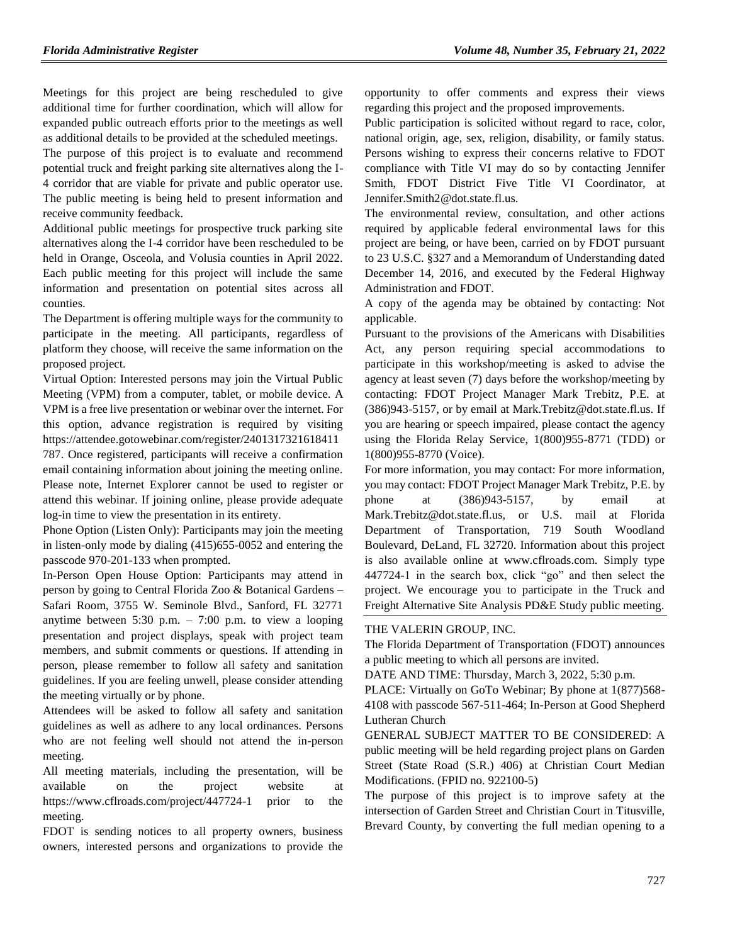Meetings for this project are being rescheduled to give additional time for further coordination, which will allow for expanded public outreach efforts prior to the meetings as well as additional details to be provided at the scheduled meetings.

The purpose of this project is to evaluate and recommend potential truck and freight parking site alternatives along the I-4 corridor that are viable for private and public operator use. The public meeting is being held to present information and receive community feedback.

Additional public meetings for prospective truck parking site alternatives along the I-4 corridor have been rescheduled to be held in Orange, Osceola, and Volusia counties in April 2022. Each public meeting for this project will include the same information and presentation on potential sites across all counties.

The Department is offering multiple ways for the community to participate in the meeting. All participants, regardless of platform they choose, will receive the same information on the proposed project.

Virtual Option: Interested persons may join the Virtual Public Meeting (VPM) from a computer, tablet, or mobile device. A VPM is a free live presentation or webinar over the internet. For this option, advance registration is required by visiting https://attendee.gotowebinar.com/register/2401317321618411

787. Once registered, participants will receive a confirmation email containing information about joining the meeting online. Please note, Internet Explorer cannot be used to register or attend this webinar. If joining online, please provide adequate log-in time to view the presentation in its entirety.

Phone Option (Listen Only): Participants may join the meeting in listen-only mode by dialing (415)655-0052 and entering the passcode 970-201-133 when prompted.

In-Person Open House Option: Participants may attend in person by going to Central Florida Zoo & Botanical Gardens – Safari Room, 3755 W. Seminole Blvd., Sanford, FL 32771 anytime between 5:30 p.m. – 7:00 p.m. to view a looping presentation and project displays, speak with project team members, and submit comments or questions. If attending in person, please remember to follow all safety and sanitation guidelines. If you are feeling unwell, please consider attending the meeting virtually or by phone.

Attendees will be asked to follow all safety and sanitation guidelines as well as adhere to any local ordinances. Persons who are not feeling well should not attend the in-person meeting.

All meeting materials, including the presentation, will be available on the project website at https://www.cflroads.com/project/447724-1 prior to the meeting.

FDOT is sending notices to all property owners, business owners, interested persons and organizations to provide the opportunity to offer comments and express their views regarding this project and the proposed improvements.

Public participation is solicited without regard to race, color, national origin, age, sex, religion, disability, or family status. Persons wishing to express their concerns relative to FDOT compliance with Title VI may do so by contacting Jennifer Smith, FDOT District Five Title VI Coordinator, at Jennifer.Smith2@dot.state.fl.us.

The environmental review, consultation, and other actions required by applicable federal environmental laws for this project are being, or have been, carried on by FDOT pursuant to 23 U.S.C. §327 and a Memorandum of Understanding dated December 14, 2016, and executed by the Federal Highway Administration and FDOT.

A copy of the agenda may be obtained by contacting: Not applicable.

Pursuant to the provisions of the Americans with Disabilities Act, any person requiring special accommodations to participate in this workshop/meeting is asked to advise the agency at least seven (7) days before the workshop/meeting by contacting: FDOT Project Manager Mark Trebitz, P.E. at (386)943-5157, or by email at Mark.Trebitz@dot.state.fl.us. If you are hearing or speech impaired, please contact the agency using the Florida Relay Service, 1(800)955-8771 (TDD) or 1(800)955-8770 (Voice).

For more information, you may contact: For more information, you may contact: FDOT Project Manager Mark Trebitz, P.E. by phone at (386)943-5157, by email at Mark.Trebitz@dot.state.fl.us, or U.S. mail at Florida Department of Transportation, 719 South Woodland Boulevard, DeLand, FL 32720. Information about this project is also available online at www.cflroads.com. Simply type 447724-1 in the search box, click "go" and then select the project. We encourage you to participate in the Truck and Freight Alternative Site Analysis PD&E Study public meeting.

#### [THE VALERIN GROUP, INC.](https://www.flrules.org/gateway/organization.asp?id=1012)

The Florida Department of Transportation (FDOT) announces a public meeting to which all persons are invited.

DATE AND TIME: Thursday, March 3, 2022, 5:30 p.m.

PLACE: Virtually on GoTo Webinar; By phone at 1(877)568- 4108 with passcode 567-511-464; In-Person at Good Shepherd Lutheran Church

GENERAL SUBJECT MATTER TO BE CONSIDERED: A public meeting will be held regarding project plans on Garden Street (State Road (S.R.) 406) at Christian Court Median Modifications. (FPID no. 922100-5)

The purpose of this project is to improve safety at the intersection of Garden Street and Christian Court in Titusville, Brevard County, by converting the full median opening to a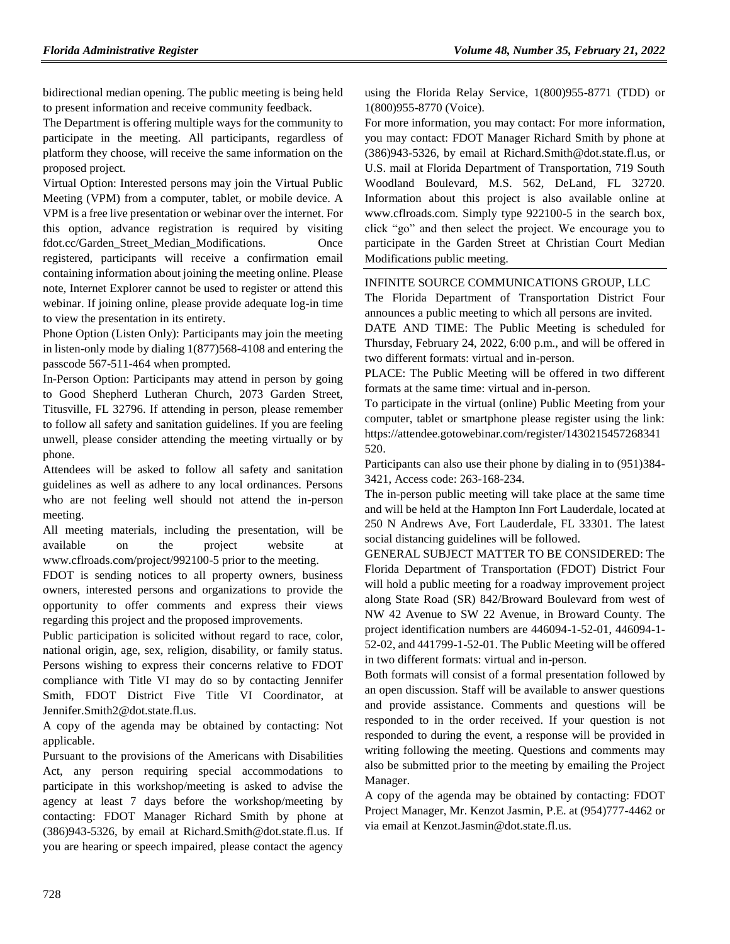bidirectional median opening. The public meeting is being held to present information and receive community feedback.

The Department is offering multiple ways for the community to participate in the meeting. All participants, regardless of platform they choose, will receive the same information on the proposed project.

Virtual Option: Interested persons may join the Virtual Public Meeting (VPM) from a computer, tablet, or mobile device. A VPM is a free live presentation or webinar over the internet. For this option, advance registration is required by visiting fdot.cc/Garden\_Street\_Median\_Modifications. Once registered, participants will receive a confirmation email containing information about joining the meeting online. Please note, Internet Explorer cannot be used to register or attend this webinar. If joining online, please provide adequate log-in time to view the presentation in its entirety.

Phone Option (Listen Only): Participants may join the meeting in listen-only mode by dialing 1(877)568-4108 and entering the passcode 567-511-464 when prompted.

In-Person Option: Participants may attend in person by going to Good Shepherd Lutheran Church, 2073 Garden Street, Titusville, FL 32796. If attending in person, please remember to follow all safety and sanitation guidelines. If you are feeling unwell, please consider attending the meeting virtually or by phone.

Attendees will be asked to follow all safety and sanitation guidelines as well as adhere to any local ordinances. Persons who are not feeling well should not attend the in-person meeting.

All meeting materials, including the presentation, will be available on the project website at www.cflroads.com/project/992100-5 prior to the meeting.

FDOT is sending notices to all property owners, business owners, interested persons and organizations to provide the opportunity to offer comments and express their views regarding this project and the proposed improvements.

Public participation is solicited without regard to race, color, national origin, age, sex, religion, disability, or family status. Persons wishing to express their concerns relative to FDOT compliance with Title VI may do so by contacting Jennifer Smith, FDOT District Five Title VI Coordinator, at Jennifer.Smith2@dot.state.fl.us.

A copy of the agenda may be obtained by contacting: Not applicable.

Pursuant to the provisions of the Americans with Disabilities Act, any person requiring special accommodations to participate in this workshop/meeting is asked to advise the agency at least 7 days before the workshop/meeting by contacting: FDOT Manager Richard Smith by phone at (386)943-5326, by email at Richard.Smith@dot.state.fl.us. If you are hearing or speech impaired, please contact the agency using the Florida Relay Service, 1(800)955-8771 (TDD) or 1(800)955-8770 (Voice).

For more information, you may contact: For more information, you may contact: FDOT Manager Richard Smith by phone at (386)943-5326, by email at Richard.Smith@dot.state.fl.us, or U.S. mail at Florida Department of Transportation, 719 South Woodland Boulevard, M.S. 562, DeLand, FL 32720. Information about this project is also available online at www.cflroads.com. Simply type 922100-5 in the search box, click "go" and then select the project. We encourage you to participate in the Garden Street at Christian Court Median Modifications public meeting.

### [INFINITE SOURCE COMMUNICATIONS GROUP, LLC](https://www.flrules.org/gateway/organization.asp?id=1035)

The Florida Department of Transportation District Four announces a public meeting to which all persons are invited.

DATE AND TIME: The Public Meeting is scheduled for Thursday, February 24, 2022, 6:00 p.m., and will be offered in two different formats: virtual and in-person.

PLACE: The Public Meeting will be offered in two different formats at the same time: virtual and in-person.

To participate in the virtual (online) Public Meeting from your computer, tablet or smartphone please register using the link: https://attendee.gotowebinar.com/register/1430215457268341 520.

Participants can also use their phone by dialing in to (951)384- 3421, Access code: 263-168-234.

The in-person public meeting will take place at the same time and will be held at the Hampton Inn Fort Lauderdale, located at 250 N Andrews Ave, Fort Lauderdale, FL 33301. The latest social distancing guidelines will be followed.

GENERAL SUBJECT MATTER TO BE CONSIDERED: The Florida Department of Transportation (FDOT) District Four will hold a public meeting for a roadway improvement project along State Road (SR) 842/Broward Boulevard from west of NW 42 Avenue to SW 22 Avenue, in Broward County. The project identification numbers are 446094-1-52-01, 446094-1- 52-02, and 441799-1-52-01. The Public Meeting will be offered in two different formats: virtual and in-person.

Both formats will consist of a formal presentation followed by an open discussion. Staff will be available to answer questions and provide assistance. Comments and questions will be responded to in the order received. If your question is not responded to during the event, a response will be provided in writing following the meeting. Questions and comments may also be submitted prior to the meeting by emailing the Project Manager.

A copy of the agenda may be obtained by contacting: FDOT Project Manager, Mr. Kenzot Jasmin, P.E. at (954)777-4462 or via email at Kenzot.Jasmin@dot.state.fl.us.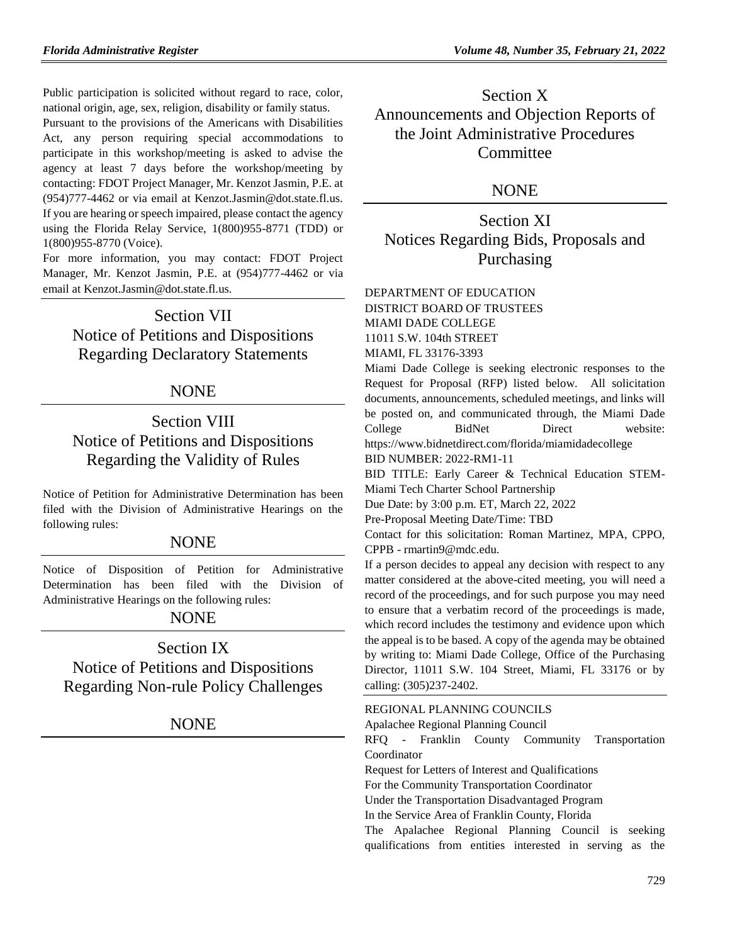Public participation is solicited without regard to race, color, national origin, age, sex, religion, disability or family status.

Pursuant to the provisions of the Americans with Disabilities Act, any person requiring special accommodations to participate in this workshop/meeting is asked to advise the agency at least 7 days before the workshop/meeting by contacting: FDOT Project Manager, Mr. Kenzot Jasmin, P.E. at (954)777-4462 or via email at Kenzot.Jasmin@dot.state.fl.us. If you are hearing or speech impaired, please contact the agency using the Florida Relay Service, 1(800)955-8771 (TDD) or 1(800)955-8770 (Voice).

For more information, you may contact: FDOT Project Manager, Mr. Kenzot Jasmin, P.E. at (954)777-4462 or via email at Kenzot.Jasmin@dot.state.fl.us.

## Section VII Notice of Petitions and Dispositions

Regarding Declaratory Statements

## NONE

# Section VIII Notice of Petitions and Dispositions Regarding the Validity of Rules

Notice of Petition for Administrative Determination has been filed with the Division of Administrative Hearings on the following rules:

## **NONE**

Notice of Disposition of Petition for Administrative Determination has been filed with the Division of Administrative Hearings on the following rules:

## NONE

Section IX Notice of Petitions and Dispositions Regarding Non-rule Policy Challenges

NONE

# Section X Announcements and Objection Reports of the Joint Administrative Procedures **Committee**

## NONE

Section XI Notices Regarding Bids, Proposals and Purchasing

## [DEPARTMENT OF EDUCATION](https://www.flrules.org/gateway/department.asp?id=6) DISTRICT BOARD OF TRUSTEES MIAMI DADE COLLEGE 11011 S.W. 104th STREET

MIAMI, FL 33176-3393

Miami Dade College is seeking electronic responses to the Request for Proposal (RFP) listed below. All solicitation documents, announcements, scheduled meetings, and links will be posted on, and communicated through, the Miami Dade College BidNet Direct website:

https://www.bidnetdirect.com/florida/miamidadecollege BID NUMBER: 2022-RM1-11

BID TITLE: Early Career & Technical Education STEM-Miami Tech Charter School Partnership

Due Date: by 3:00 p.m. ET, March 22, 2022

Pre-Proposal Meeting Date/Time: TBD

Contact for this solicitation: Roman Martinez, MPA, CPPO, CPPB - rmartin9@mdc.edu.

If a person decides to appeal any decision with respect to any matter considered at the above-cited meeting, you will need a record of the proceedings, and for such purpose you may need to ensure that a verbatim record of the proceedings is made, which record includes the testimony and evidence upon which the appeal is to be based. A copy of the agenda may be obtained by writing to: Miami Dade College, Office of the Purchasing Director, 11011 S.W. 104 Street, Miami, FL 33176 or by calling: (305)237-2402.

[REGIONAL PLANNING COUNCILS](https://www.flrules.org/gateway/department.asp?id=29)

[Apalachee Regional Planning Council](https://www.flrules.org/gateway/organization.asp?id=68)

RFQ - Franklin County Community Transportation Coordinator

Request for Letters of Interest and Qualifications

For the Community Transportation Coordinator

Under the Transportation Disadvantaged Program

In the Service Area of Franklin County, Florida

The Apalachee Regional Planning Council is seeking qualifications from entities interested in serving as the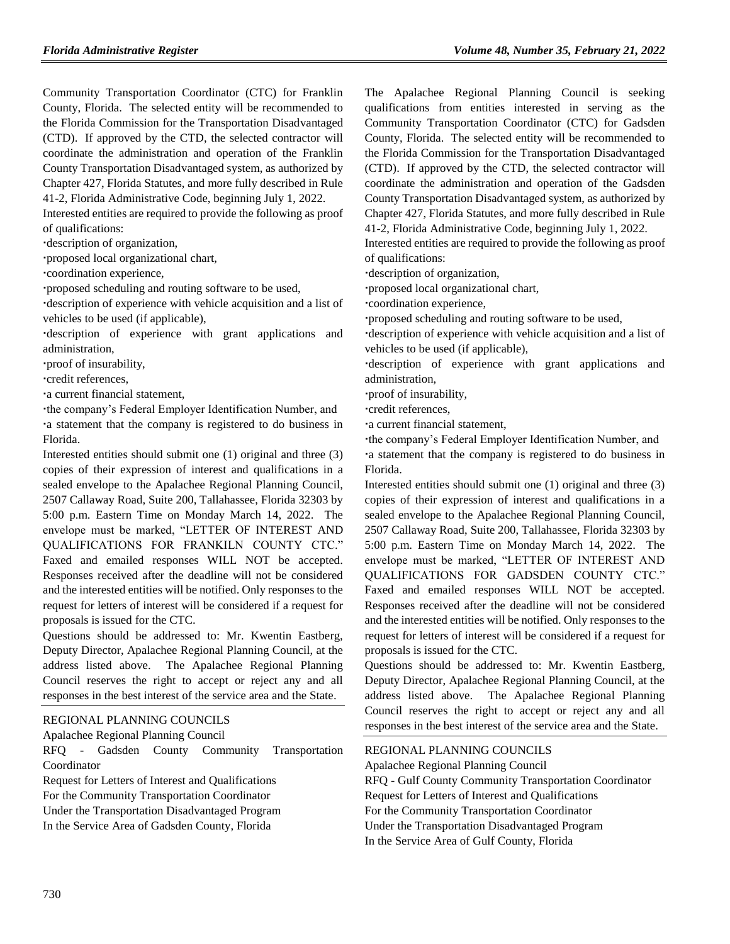Community Transportation Coordinator (CTC) for Franklin County, Florida. The selected entity will be recommended to the Florida Commission for the Transportation Disadvantaged (CTD). If approved by the CTD, the selected contractor will coordinate the administration and operation of the Franklin County Transportation Disadvantaged system, as authorized by Chapter 427, Florida Statutes, and more fully described in Rule 41-2, Florida Administrative Code, beginning July 1, 2022.

Interested entities are required to provide the following as proof of qualifications:

description of organization,

proposed local organizational chart,

coordination experience,

proposed scheduling and routing software to be used,

description of experience with vehicle acquisition and a list of vehicles to be used (if applicable),

description of experience with grant applications and administration,

proof of insurability,

credit references,

a current financial statement,

the company's Federal Employer Identification Number, and a statement that the company is registered to do business in

Florida.

Interested entities should submit one (1) original and three (3) copies of their expression of interest and qualifications in a sealed envelope to the Apalachee Regional Planning Council, 2507 Callaway Road, Suite 200, Tallahassee, Florida 32303 by 5:00 p.m. Eastern Time on Monday March 14, 2022. The envelope must be marked, "LETTER OF INTEREST AND QUALIFICATIONS FOR FRANKILN COUNTY CTC." Faxed and emailed responses WILL NOT be accepted. Responses received after the deadline will not be considered and the interested entities will be notified. Only responses to the request for letters of interest will be considered if a request for proposals is issued for the CTC.

Questions should be addressed to: Mr. Kwentin Eastberg, Deputy Director, Apalachee Regional Planning Council, at the address listed above. The Apalachee Regional Planning Council reserves the right to accept or reject any and all responses in the best interest of the service area and the State.

#### [REGIONAL PLANNING COUNCILS](https://www.flrules.org/gateway/department.asp?id=29)

[Apalachee Regional Planning Council](https://www.flrules.org/gateway/organization.asp?id=68)

RFQ - Gadsden County Community Transportation Coordinator

Request for Letters of Interest and Qualifications

For the Community Transportation Coordinator

Under the Transportation Disadvantaged Program In the Service Area of Gadsden County, Florida

The Apalachee Regional Planning Council is seeking qualifications from entities interested in serving as the Community Transportation Coordinator (CTC) for Gadsden County, Florida. The selected entity will be recommended to the Florida Commission for the Transportation Disadvantaged (CTD). If approved by the CTD, the selected contractor will coordinate the administration and operation of the Gadsden County Transportation Disadvantaged system, as authorized by Chapter 427, Florida Statutes, and more fully described in Rule 41-2, Florida Administrative Code, beginning July 1, 2022.

Interested entities are required to provide the following as proof of qualifications:

description of organization,

proposed local organizational chart,

coordination experience,

proposed scheduling and routing software to be used,

description of experience with vehicle acquisition and a list of vehicles to be used (if applicable),

description of experience with grant applications and administration,

proof of insurability,

credit references,

a current financial statement,

the company's Federal Employer Identification Number, and a statement that the company is registered to do business in Florida.

Interested entities should submit one (1) original and three (3) copies of their expression of interest and qualifications in a sealed envelope to the Apalachee Regional Planning Council, 2507 Callaway Road, Suite 200, Tallahassee, Florida 32303 by 5:00 p.m. Eastern Time on Monday March 14, 2022. The envelope must be marked, "LETTER OF INTEREST AND QUALIFICATIONS FOR GADSDEN COUNTY CTC." Faxed and emailed responses WILL NOT be accepted. Responses received after the deadline will not be considered and the interested entities will be notified. Only responses to the request for letters of interest will be considered if a request for proposals is issued for the CTC.

Questions should be addressed to: Mr. Kwentin Eastberg, Deputy Director, Apalachee Regional Planning Council, at the address listed above. The Apalachee Regional Planning Council reserves the right to accept or reject any and all responses in the best interest of the service area and the State.

#### [REGIONAL PLANNING COUNCILS](https://www.flrules.org/gateway/department.asp?id=29)

[Apalachee Regional Planning Council](https://www.flrules.org/gateway/organization.asp?id=68)

RFQ - Gulf County Community Transportation Coordinator Request for Letters of Interest and Qualifications For the Community Transportation Coordinator Under the Transportation Disadvantaged Program In the Service Area of Gulf County, Florida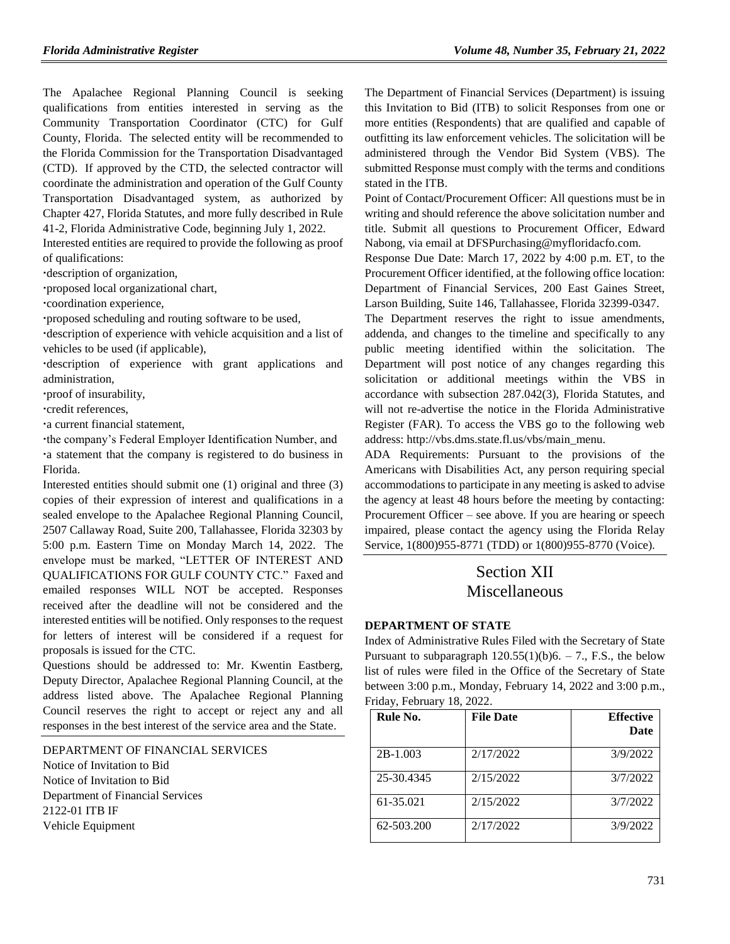The Apalachee Regional Planning Council is seeking qualifications from entities interested in serving as the Community Transportation Coordinator (CTC) for Gulf County, Florida. The selected entity will be recommended to the Florida Commission for the Transportation Disadvantaged (CTD). If approved by the CTD, the selected contractor will coordinate the administration and operation of the Gulf County Transportation Disadvantaged system, as authorized by Chapter 427, Florida Statutes, and more fully described in Rule 41-2, Florida Administrative Code, beginning July 1, 2022.

Interested entities are required to provide the following as proof of qualifications:

description of organization,

proposed local organizational chart,

coordination experience,

proposed scheduling and routing software to be used,

description of experience with vehicle acquisition and a list of vehicles to be used (if applicable),

description of experience with grant applications and administration,

proof of insurability,

credit references,

a current financial statement,

the company's Federal Employer Identification Number, and a statement that the company is registered to do business in Florida.

Interested entities should submit one (1) original and three (3) copies of their expression of interest and qualifications in a sealed envelope to the Apalachee Regional Planning Council, 2507 Callaway Road, Suite 200, Tallahassee, Florida 32303 by 5:00 p.m. Eastern Time on Monday March 14, 2022. The envelope must be marked, "LETTER OF INTEREST AND QUALIFICATIONS FOR GULF COUNTY CTC." Faxed and emailed responses WILL NOT be accepted. Responses received after the deadline will not be considered and the interested entities will be notified. Only responses to the request for letters of interest will be considered if a request for proposals is issued for the CTC.

Questions should be addressed to: Mr. Kwentin Eastberg, Deputy Director, Apalachee Regional Planning Council, at the address listed above. The Apalachee Regional Planning Council reserves the right to accept or reject any and all responses in the best interest of the service area and the State.

[DEPARTMENT OF FINANCIAL SERVICES](https://www.flrules.org/gateway/department.asp?id=69)

Notice of Invitation to Bid Notice of Invitation to Bid Department of Financial Services 2122-01 ITB IF Vehicle Equipment

The Department of Financial Services (Department) is issuing this Invitation to Bid (ITB) to solicit Responses from one or more entities (Respondents) that are qualified and capable of outfitting its law enforcement vehicles. The solicitation will be administered through the Vendor Bid System (VBS). The submitted Response must comply with the terms and conditions stated in the ITB.

Point of Contact/Procurement Officer: All questions must be in writing and should reference the above solicitation number and title. Submit all questions to Procurement Officer, Edward Nabong, via email at DFSPurchasing@myfloridacfo.com.

Response Due Date: March 17, 2022 by 4:00 p.m. ET, to the Procurement Officer identified, at the following office location: Department of Financial Services, 200 East Gaines Street, Larson Building, Suite 146, Tallahassee, Florida 32399-0347.

The Department reserves the right to issue amendments, addenda, and changes to the timeline and specifically to any public meeting identified within the solicitation. The Department will post notice of any changes regarding this solicitation or additional meetings within the VBS in accordance with subsection 287.042(3), Florida Statutes, and will not re-advertise the notice in the Florida Administrative Register (FAR). To access the VBS go to the following web address: [http://vbs.dms.state.fl.us/vbs/main\\_menu.](http://vbs.dms.state.fl.us/vbs/main_menu)

ADA Requirements: Pursuant to the provisions of the Americans with Disabilities Act, any person requiring special accommodations to participate in any meeting is asked to advise the agency at least 48 hours before the meeting by contacting: Procurement Officer – see above. If you are hearing or speech impaired, please contact the agency using the Florida Relay Service, 1(800)955-8771 (TDD) or 1(800)955-8770 (Voice).

# Section XII Miscellaneous

#### **[DEPARTMENT OF STATE](https://www.flrules.org/gateway/department.asp?id=1)**

Index of Administrative Rules Filed with the Secretary of State Pursuant to subparagraph  $120.55(1)(b)6. - 7$ ., F.S., the below list of rules were filed in the Office of the Secretary of State between 3:00 p.m., Monday, February 14, 2022 and 3:00 p.m., Friday, February 18, 2022.

| Rule No.   | <b>File Date</b> | <b>Effective</b><br><b>Date</b> |
|------------|------------------|---------------------------------|
| $2B-1.003$ | 2/17/2022        | 3/9/2022                        |
| 25-30.4345 | 2/15/2022        | 3/7/2022                        |
| 61-35.021  | 2/15/2022        | 3/7/2022                        |
| 62-503.200 | 2/17/2022        | 3/9/2022                        |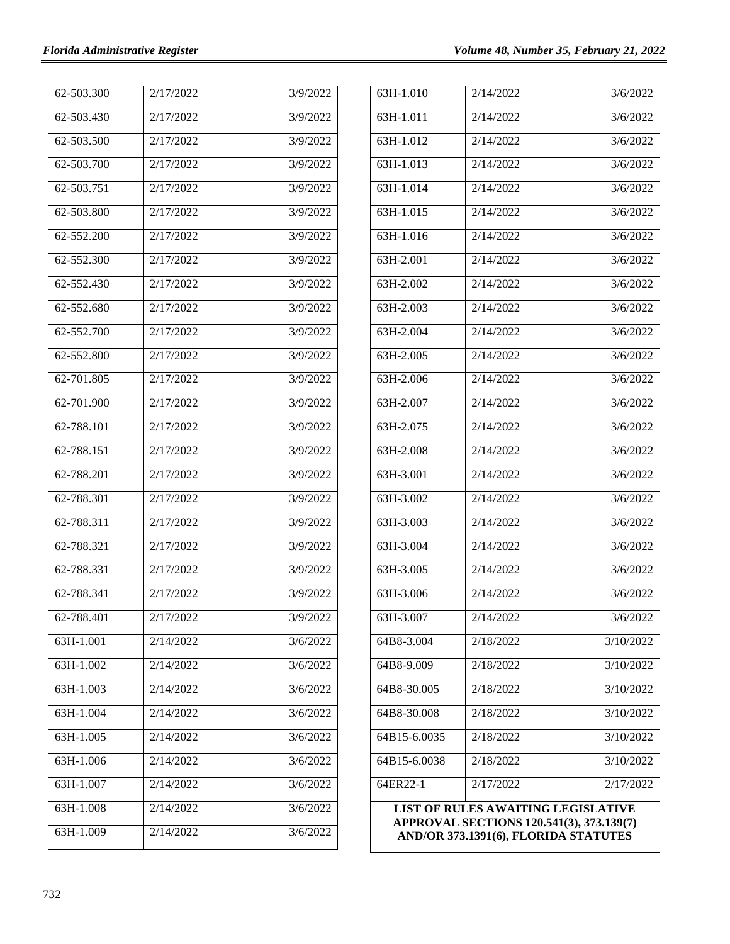| 62-503.300     | 2/17/2022 | 3/9/2022 |
|----------------|-----------|----------|
| 62-503.430     | 2/17/2022 | 3/9/2022 |
| 62-503.500     | 2/17/2022 | 3/9/2022 |
| 62-503.700     | 2/17/2022 | 3/9/2022 |
| 62-503.751     | 2/17/2022 | 3/9/2022 |
| 62-503.800     | 2/17/2022 | 3/9/2022 |
| 62-552.200     | 2/17/2022 | 3/9/2022 |
| 62-552.300     | 2/17/2022 | 3/9/2022 |
| 62-552.430     | 2/17/2022 | 3/9/2022 |
| 62-552.680     | 2/17/2022 | 3/9/2022 |
| $62 - 552.700$ | 2/17/2022 | 3/9/2022 |
| 62-552.800     | 2/17/2022 | 3/9/2022 |
| 62-701.805     | 2/17/2022 | 3/9/2022 |
| 62-701.900     | 2/17/2022 | 3/9/2022 |
| 62-788.101     | 2/17/2022 | 3/9/2022 |
| 62-788.151     | 2/17/2022 | 3/9/2022 |
| 62-788.201     | 2/17/2022 | 3/9/2022 |
| 62-788.301     | 2/17/2022 | 3/9/2022 |
| 62-788.311     | 2/17/2022 | 3/9/2022 |
| 62-788.321     | 2/17/2022 | 3/9/2022 |
| 62-788.331     | 2/17/2022 | 3/9/2022 |
| 62-788.341     | 2/17/2022 | 3/9/2022 |
| 62-788.401     | 2/17/2022 | 3/9/2022 |
| 63H-1.001      | 2/14/2022 | 3/6/2022 |
| 63H-1.002      | 2/14/2022 | 3/6/2022 |
| 63H-1.003      | 2/14/2022 | 3/6/2022 |
| 63H-1.004      | 2/14/2022 | 3/6/2022 |
| 63H-1.005      | 2/14/2022 | 3/6/2022 |
| 63H-1.006      | 2/14/2022 | 3/6/2022 |
| 63H-1.007      | 2/14/2022 | 3/6/2022 |
| 63H-1.008      | 2/14/2022 | 3/6/2022 |
| 63H-1.009      | 2/14/2022 | 3/6/2022 |
|                |           |          |

| 63H-1.010                                                                                                                     | 2/14/2022 | 3/6/2022  |  |  |
|-------------------------------------------------------------------------------------------------------------------------------|-----------|-----------|--|--|
| 63H-1.011                                                                                                                     | 2/14/2022 | 3/6/2022  |  |  |
| 63H-1.012                                                                                                                     | 2/14/2022 | 3/6/2022  |  |  |
| 63H-1.013                                                                                                                     | 2/14/2022 | 3/6/2022  |  |  |
| 63H-1.014                                                                                                                     | 2/14/2022 | 3/6/2022  |  |  |
| 63H-1.015                                                                                                                     | 2/14/2022 | 3/6/2022  |  |  |
| $63H-1.016$                                                                                                                   | 2/14/2022 | 3/6/2022  |  |  |
| 63H-2.001                                                                                                                     | 2/14/2022 | 3/6/2022  |  |  |
| 63H-2.002                                                                                                                     | 2/14/2022 | 3/6/2022  |  |  |
| 63H-2.003                                                                                                                     | 2/14/2022 | 3/6/2022  |  |  |
| 63H-2.004                                                                                                                     | 2/14/2022 | 3/6/2022  |  |  |
| 63H-2.005                                                                                                                     | 2/14/2022 | 3/6/2022  |  |  |
| 63H-2.006                                                                                                                     | 2/14/2022 | 3/6/2022  |  |  |
| 63H-2.007                                                                                                                     | 2/14/2022 | 3/6/2022  |  |  |
| 63H-2.075                                                                                                                     | 2/14/2022 | 3/6/2022  |  |  |
| 63H-2.008                                                                                                                     | 2/14/2022 | 3/6/2022  |  |  |
| 63H-3.001                                                                                                                     | 2/14/2022 | 3/6/2022  |  |  |
| 63H-3.002                                                                                                                     | 2/14/2022 | 3/6/2022  |  |  |
| 63H-3.003                                                                                                                     | 2/14/2022 | 3/6/2022  |  |  |
| 63H-3.004                                                                                                                     | 2/14/2022 | 3/6/2022  |  |  |
| 63H-3.005                                                                                                                     | 2/14/2022 | 3/6/2022  |  |  |
| 63H-3.006                                                                                                                     | 2/14/2022 | 3/6/2022  |  |  |
| 63H-3.007                                                                                                                     | 2/14/2022 | 3/6/2022  |  |  |
| 64B8-3.004                                                                                                                    | 2/18/2022 | 3/10/2022 |  |  |
| 64B8-9.009                                                                                                                    | 2/18/2022 | 3/10/2022 |  |  |
| 64B8-30.005                                                                                                                   | 2/18/2022 | 3/10/2022 |  |  |
| 64B8-30.008                                                                                                                   | 2/18/2022 | 3/10/2022 |  |  |
| 64B15-6.0035                                                                                                                  | 2/18/2022 | 3/10/2022 |  |  |
| 64B15-6.0038                                                                                                                  | 2/18/2022 | 3/10/2022 |  |  |
| 64ER22-1                                                                                                                      | 2/17/2022 | 2/17/2022 |  |  |
| <b>LIST OF RULES AWAITING LEGISLATIVE</b><br>APPROVAL SECTIONS 120.541(3), 373.139(7)<br>AND/OR 373.1391(6), FLORIDA STATUTES |           |           |  |  |